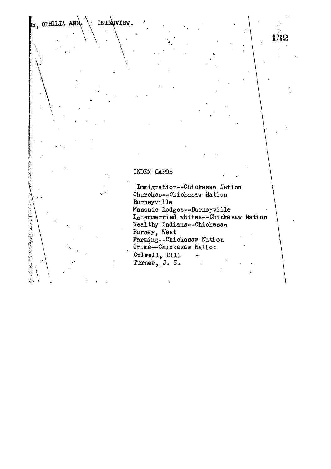**!R} OPHILIA.** INTERVIEW.

**\**

**And Contains Service Contains of the Contact of the Contact of the Contact of the Contact of the Contact of the Contact of the Contact of The Contact of The Contact of The Contact of The Contact of The Contact of The Cont** 

1. 计可靠的 经管理管理管理管理

## **INDEX CARDS**

Immigration—Chickasaw Nation Churches—Chickasaw Hation Burneyville Masonic lodges—Bumeyville Intermarried whites—Chickasaw Nation Wealthy Indians—Chickasaw Burney, West Farming—Chickasaw Nation Crime—Chickasaw Nation Culwell, Bill Turner, J. F.

132

er<br>K